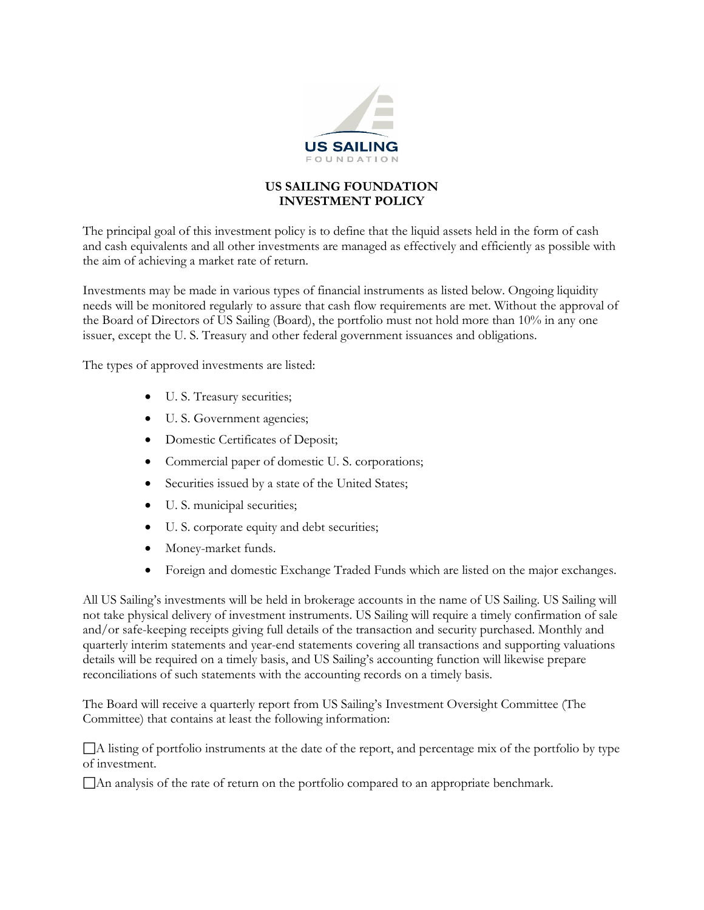

## **US SAILING FOUNDATION INVESTMENT POLICY**

The principal goal of this investment policy is to define that the liquid assets held in the form of cash and cash equivalents and all other investments are managed as effectively and efficiently as possible with the aim of achieving a market rate of return.

Investments may be made in various types of financial instruments as listed below. Ongoing liquidity needs will be monitored regularly to assure that cash flow requirements are met. Without the approval of the Board of Directors of US Sailing (Board), the portfolio must not hold more than 10% in any one issuer, except the U. S. Treasury and other federal government issuances and obligations.

The types of approved investments are listed:

- U. S. Treasury securities;
- U. S. Government agencies;
- Domestic Certificates of Deposit;
- Commercial paper of domestic U. S. corporations;
- Securities issued by a state of the United States;
- U. S. municipal securities;
- U. S. corporate equity and debt securities;
- Money-market funds.
- Foreign and domestic Exchange Traded Funds which are listed on the major exchanges.

All US Sailing's investments will be held in brokerage accounts in the name of US Sailing. US Sailing will not take physical delivery of investment instruments. US Sailing will require a timely confirmation of sale and/or safe-keeping receipts giving full details of the transaction and security purchased. Monthly and quarterly interim statements and year-end statements covering all transactions and supporting valuations details will be required on a timely basis, and US Sailing's accounting function will likewise prepare reconciliations of such statements with the accounting records on a timely basis.

The Board will receive a quarterly report from US Sailing's Investment Oversight Committee (The Committee) that contains at least the following information:

A listing of portfolio instruments at the date of the report, and percentage mix of the portfolio by type of investment.

An analysis of the rate of return on the portfolio compared to an appropriate benchmark.